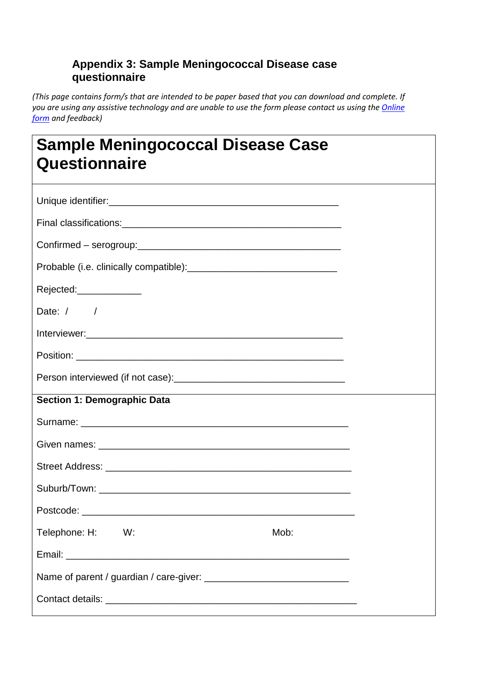## **Appendix 3: Sample Meningococcal Disease case questionnaire**

*(This page contains form/s that are intended to be paper based that you can download and complete. If you are using any assistive technology and are unable to use the form please contact us using the [Online](http://www.health.gov.au/internet/main/publishing.nsf/Content/health-comments.htm)  [form](http://www.health.gov.au/internet/main/publishing.nsf/Content/health-comments.htm) and feedback)*

| <b>Sample Meningococcal Disease Case</b><br>Questionnaire |  |  |  |  |  |  |  |
|-----------------------------------------------------------|--|--|--|--|--|--|--|
|                                                           |  |  |  |  |  |  |  |
|                                                           |  |  |  |  |  |  |  |
|                                                           |  |  |  |  |  |  |  |
|                                                           |  |  |  |  |  |  |  |
| Rejected:______________                                   |  |  |  |  |  |  |  |
| Date: $/$ /                                               |  |  |  |  |  |  |  |
|                                                           |  |  |  |  |  |  |  |
|                                                           |  |  |  |  |  |  |  |
|                                                           |  |  |  |  |  |  |  |
| <b>Section 1: Demographic Data</b>                        |  |  |  |  |  |  |  |
|                                                           |  |  |  |  |  |  |  |
|                                                           |  |  |  |  |  |  |  |
|                                                           |  |  |  |  |  |  |  |
|                                                           |  |  |  |  |  |  |  |
|                                                           |  |  |  |  |  |  |  |
| Telephone: H: W:<br>Mob:                                  |  |  |  |  |  |  |  |
|                                                           |  |  |  |  |  |  |  |
|                                                           |  |  |  |  |  |  |  |
|                                                           |  |  |  |  |  |  |  |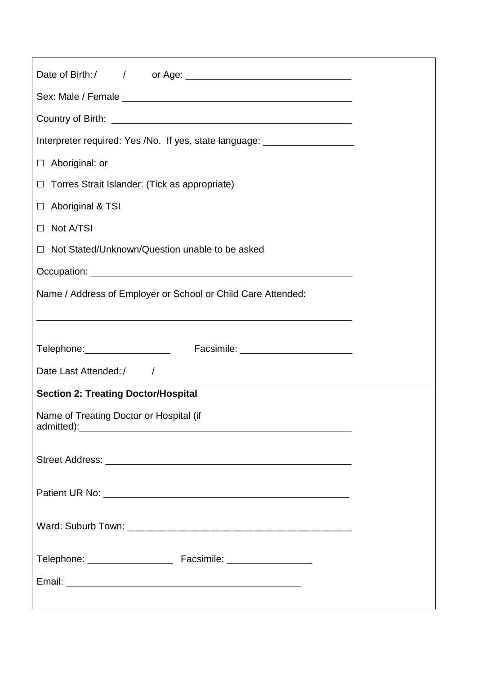| Interpreter required: Yes /No. If yes, state language: _________________________ |
|----------------------------------------------------------------------------------|
| $\Box$ Aboriginal: or                                                            |
| $\Box$ Torres Strait Islander: (Tick as appropriate)                             |
| $\Box$ Aboriginal & TSI                                                          |
| □ Not A/TSI                                                                      |
| $\Box$ Not Stated/Unknown/Question unable to be asked                            |
|                                                                                  |
| Name / Address of Employer or School or Child Care Attended:                     |
|                                                                                  |
|                                                                                  |
| Telephone:__________________                                                     |
| Date Last Attended:/                                                             |
| <b>Section 2: Treating Doctor/Hospital</b>                                       |
| Name of Treating Doctor or Hospital (if                                          |
|                                                                                  |
|                                                                                  |
|                                                                                  |
|                                                                                  |
|                                                                                  |
|                                                                                  |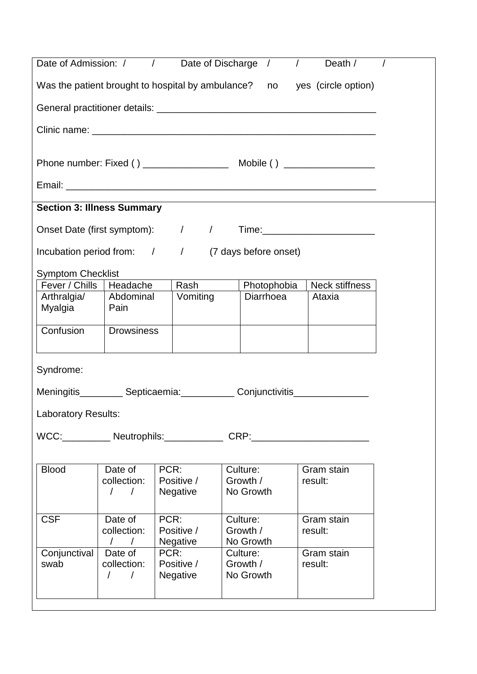| Date of Admission: /                                                             |                                                                                                            | $\sqrt{2}$                        | Date of Discharge / |  |           |             | $\sqrt{ }$ | Death /               |  |
|----------------------------------------------------------------------------------|------------------------------------------------------------------------------------------------------------|-----------------------------------|---------------------|--|-----------|-------------|------------|-----------------------|--|
| Was the patient brought to hospital by ambulance? no yes (circle option)         |                                                                                                            |                                   |                     |  |           |             |            |                       |  |
|                                                                                  |                                                                                                            |                                   |                     |  |           |             |            |                       |  |
|                                                                                  |                                                                                                            |                                   |                     |  |           |             |            |                       |  |
|                                                                                  |                                                                                                            |                                   |                     |  |           |             |            |                       |  |
|                                                                                  |                                                                                                            |                                   |                     |  |           |             |            |                       |  |
| <b>Section 3: Illness Summary</b>                                                |                                                                                                            |                                   |                     |  |           |             |            |                       |  |
| Onset Date (first symptom): / /<br>Time:_____________________________            |                                                                                                            |                                   |                     |  |           |             |            |                       |  |
| Incubation period from: / / (7 days before onset)                                |                                                                                                            |                                   |                     |  |           |             |            |                       |  |
| <b>Symptom Checklist</b>                                                         |                                                                                                            |                                   |                     |  |           |             |            |                       |  |
| Fever / Chills                                                                   | Headache                                                                                                   |                                   | Rash                |  |           | Photophobia |            | <b>Neck stiffness</b> |  |
| Arthralgia/                                                                      | Abdominal                                                                                                  |                                   | Vomiting            |  |           | Diarrhoea   |            | Ataxia                |  |
| Myalgia                                                                          | Pain                                                                                                       |                                   |                     |  |           |             |            |                       |  |
| Confusion                                                                        | <b>Drowsiness</b>                                                                                          |                                   |                     |  |           |             |            |                       |  |
|                                                                                  |                                                                                                            |                                   |                     |  |           |             |            |                       |  |
| Syndrome:                                                                        |                                                                                                            |                                   |                     |  |           |             |            |                       |  |
| Meningitis____________ Septicaemia:_____________ Conjunctivitis_________________ |                                                                                                            |                                   |                     |  |           |             |            |                       |  |
| <b>Laboratory Results:</b>                                                       |                                                                                                            |                                   |                     |  |           |             |            |                       |  |
| WCC:_____________ Neutrophils:_______________ CRP:______________________________ |                                                                                                            |                                   |                     |  |           |             |            |                       |  |
|                                                                                  |                                                                                                            |                                   |                     |  |           |             |            |                       |  |
| <b>Blood</b>                                                                     | Date of                                                                                                    | PCR:                              |                     |  | Culture:  |             |            | Gram stain            |  |
|                                                                                  | collection:                                                                                                |                                   | Positive /          |  | Growth /  |             |            | result:               |  |
|                                                                                  | $\left  \begin{array}{cc} \end{array} \right $                                                             |                                   | <b>Negative</b>     |  | No Growth |             |            |                       |  |
| <b>CSF</b>                                                                       | Date of                                                                                                    | PCR:                              |                     |  | Culture:  |             |            | Gram stain            |  |
|                                                                                  | collection:                                                                                                | Positive /<br>Growth /<br>result: |                     |  |           |             |            |                       |  |
|                                                                                  | $\sqrt{ }$                                                                                                 |                                   | <b>Negative</b>     |  | No Growth |             |            |                       |  |
| Conjunctival                                                                     | Date of                                                                                                    | PCR:                              |                     |  | Culture:  |             |            | Gram stain            |  |
| swab                                                                             | collection:<br>Positive /<br>Growth /<br>result:<br>No Growth<br><b>Negative</b><br>$\sqrt{2}$<br>$\prime$ |                                   |                     |  |           |             |            |                       |  |
|                                                                                  |                                                                                                            |                                   |                     |  |           |             |            |                       |  |
|                                                                                  |                                                                                                            |                                   |                     |  |           |             |            |                       |  |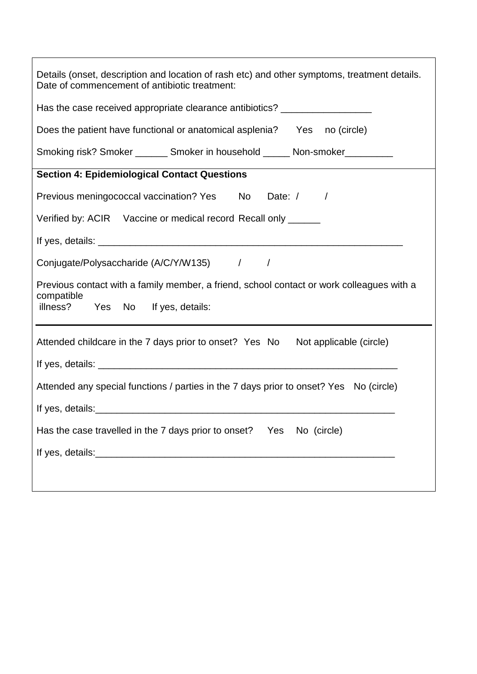| Details (onset, description and location of rash etc) and other symptoms, treatment details.<br>Date of commencement of antibiotic treatment: |  |  |  |  |  |
|-----------------------------------------------------------------------------------------------------------------------------------------------|--|--|--|--|--|
| Has the case received appropriate clearance antibiotics? _______________________                                                              |  |  |  |  |  |
| Does the patient have functional or anatomical asplenia?  Yes  no (circle)                                                                    |  |  |  |  |  |
| Smoking risk? Smoker ________ Smoker in household ______ Non-smoker__________                                                                 |  |  |  |  |  |
| <b>Section 4: Epidemiological Contact Questions</b>                                                                                           |  |  |  |  |  |
| Previous meningococcal vaccination? Yes No Date: / /                                                                                          |  |  |  |  |  |
| Verified by: ACIR Vaccine or medical record Recall only ______                                                                                |  |  |  |  |  |
|                                                                                                                                               |  |  |  |  |  |
| Conjugate/Polysaccharide (A/C/Y/W135) / /                                                                                                     |  |  |  |  |  |
| Previous contact with a family member, a friend, school contact or work colleagues with a<br>compatible<br>illness? Yes No If yes, details:   |  |  |  |  |  |
| Attended childcare in the 7 days prior to onset? Yes No Not applicable (circle)                                                               |  |  |  |  |  |
|                                                                                                                                               |  |  |  |  |  |
| Attended any special functions / parties in the 7 days prior to onset? Yes No (circle)                                                        |  |  |  |  |  |
|                                                                                                                                               |  |  |  |  |  |
|                                                                                                                                               |  |  |  |  |  |
| Has the case travelled in the 7 days prior to onset?  Yes  No (circle)                                                                        |  |  |  |  |  |
|                                                                                                                                               |  |  |  |  |  |